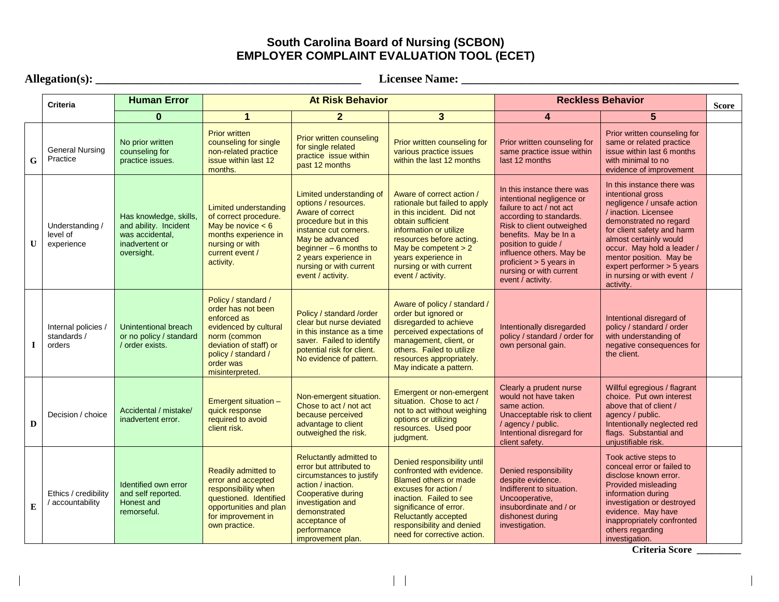## **South Carolina Board of Nursing (SCBON) EMPLOYER COMPLAINT EVALUATION TOOL (ECET)**

|   | Allegation(s): $\overline{\phantom{a}}$<br><b>Licensee Name:</b> |                                                                                                    |                                                                                                                                                                                    |                                                                                                                                                                                                                                               |                                                                                                                                                                                                                                                                     |                                                                                                                                                                                                                                                                                                    |                                                                                                                                                                                                                                                                                                                           |       |  |
|---|------------------------------------------------------------------|----------------------------------------------------------------------------------------------------|------------------------------------------------------------------------------------------------------------------------------------------------------------------------------------|-----------------------------------------------------------------------------------------------------------------------------------------------------------------------------------------------------------------------------------------------|---------------------------------------------------------------------------------------------------------------------------------------------------------------------------------------------------------------------------------------------------------------------|----------------------------------------------------------------------------------------------------------------------------------------------------------------------------------------------------------------------------------------------------------------------------------------------------|---------------------------------------------------------------------------------------------------------------------------------------------------------------------------------------------------------------------------------------------------------------------------------------------------------------------------|-------|--|
|   | <b>Criteria</b>                                                  | <b>Human Error</b>                                                                                 | <b>At Risk Behavior</b>                                                                                                                                                            |                                                                                                                                                                                                                                               |                                                                                                                                                                                                                                                                     | <b>Reckless Behavior</b>                                                                                                                                                                                                                                                                           |                                                                                                                                                                                                                                                                                                                           | Score |  |
|   |                                                                  | $\mathbf{0}$                                                                                       | $\mathbf{1}$                                                                                                                                                                       | 2 <sup>1</sup>                                                                                                                                                                                                                                | $\overline{3}$                                                                                                                                                                                                                                                      | 4                                                                                                                                                                                                                                                                                                  | 5                                                                                                                                                                                                                                                                                                                         |       |  |
| G | <b>General Nursing</b><br>Practice                               | No prior written<br>counseling for<br>practice issues.                                             | <b>Prior written</b><br>counseling for single<br>non-related practice<br>issue within last 12<br>months.                                                                           | <b>Prior written counseling</b><br>for single related<br>practice issue within<br>past 12 months                                                                                                                                              | Prior written counseling for<br>various practice issues<br>within the last 12 months                                                                                                                                                                                | Prior written counseling for<br>same practice issue within<br>last 12 months                                                                                                                                                                                                                       | Prior written counseling for<br>same or related practice<br>issue within last 6 months<br>with minimal to no<br>evidence of improvement                                                                                                                                                                                   |       |  |
| U | Understanding /<br>level of<br>experience                        | Has knowledge, skills,<br>and ability. Incident<br>was accidental,<br>inadvertent or<br>oversight. | Limited understanding<br>of correct procedure.<br>May be novice $< 6$<br>months experience in<br>nursing or with<br>current event /<br>activity.                                   | Limited understanding of<br>options / resources.<br>Aware of correct<br>procedure but in this<br>instance cut corners.<br>May be advanced<br>beginner $-6$ months to<br>2 years experience in<br>nursing or with current<br>event / activity. | Aware of correct action /<br>rationale but failed to apply<br>in this incident. Did not<br>obtain sufficient<br>information or utilize<br>resources before acting.<br>May be competent $> 2$<br>years experience in<br>nursing or with current<br>event / activity. | In this instance there was<br>intentional negligence or<br>failure to act / not act<br>according to standards.<br>Risk to client outweighed<br>benefits. May be In a<br>position to guide /<br>influence others. May be<br>proficient > 5 years in<br>nursing or with current<br>event / activity. | In this instance there was<br>intentional gross<br>negligence / unsafe action<br>/ inaction. Licensee<br>demonstrated no regard<br>for client safety and harm<br>almost certainly would<br>occur. May hold a leader /<br>mentor position. May be<br>expert performer > 5 years<br>in nursing or with event /<br>activity. |       |  |
| л | Internal policies /<br>standards /<br>orders                     | Unintentional breach<br>or no policy / standard<br>/ order exists.                                 | Policy / standard /<br>order has not been<br>enforced as<br>evidenced by cultural<br>norm (common<br>deviation of staff) or<br>policy / standard /<br>order was<br>misinterpreted. | Policy / standard /order<br>clear but nurse deviated<br>in this instance as a time<br>saver. Failed to identify<br>potential risk for client.<br>No evidence of pattern.                                                                      | Aware of policy / standard /<br>order but ignored or<br>disregarded to achieve<br>perceived expectations of<br>management, client, or<br>others. Failed to utilize<br>resources appropriately.<br>May indicate a pattern.                                           | Intentionally disregarded<br>policy / standard / order for<br>own personal gain.                                                                                                                                                                                                                   | Intentional disregard of<br>policy / standard / order<br>with understanding of<br>negative consequences for<br>the client.                                                                                                                                                                                                |       |  |
| D | Decision / choice                                                | Accidental / mistake/<br>inadvertent error.                                                        | Emergent situation -<br>quick response<br>required to avoid<br>client risk.                                                                                                        | Non-emergent situation.<br>Chose to act / not act<br>because perceived<br>advantage to client<br>outweighed the risk.                                                                                                                         | Emergent or non-emergent<br>situation. Chose to act /<br>not to act without weighing<br>options or utilizing<br>resources. Used poor<br>judgment.                                                                                                                   | Clearly a prudent nurse<br>would not have taken<br>same action.<br>Unacceptable risk to client<br>/ agency / public.<br>Intentional disregard for<br>client safety.                                                                                                                                | Willful egregious / flagrant<br>choice. Put own interest<br>above that of client /<br>agency / public.<br>Intentionally neglected red<br>flags. Substantial and<br>unjustifiable risk.                                                                                                                                    |       |  |
| E | Ethics / credibility<br>/ accountability                         | Identified own error<br>and self reported.<br>Honest and<br>remorseful.                            | <b>Readily admitted to</b><br>error and accepted<br>responsibility when<br>questioned. Identified<br>opportunities and plan<br>for improvement in<br>own practice.                 | Reluctantly admitted to<br>error but attributed to<br>circumstances to justify<br>action / inaction.<br>Cooperative during<br>investigation and<br>demonstrated<br>acceptance of<br>performance<br>improvement plan.                          | Denied responsibility until<br>confronted with evidence.<br><b>Blamed others or made</b><br>excuses for action /<br>inaction. Failed to see<br>significance of error.<br><b>Reluctantly accepted</b><br>responsibility and denied<br>need for corrective action.    | Denied responsibility<br>despite evidence.<br>Indifferent to situation.<br>Uncooperative,<br>insubordinate and / or<br>dishonest during<br>investigation.                                                                                                                                          | Took active steps to<br>conceal error or failed to<br>disclose known error.<br>Provided misleading<br>information during<br>investigation or destroyed<br>evidence. May have<br>inappropriately confronted<br>others regarding<br>investigation.                                                                          |       |  |

**Criteria Score \_\_\_\_\_\_\_\_\_**